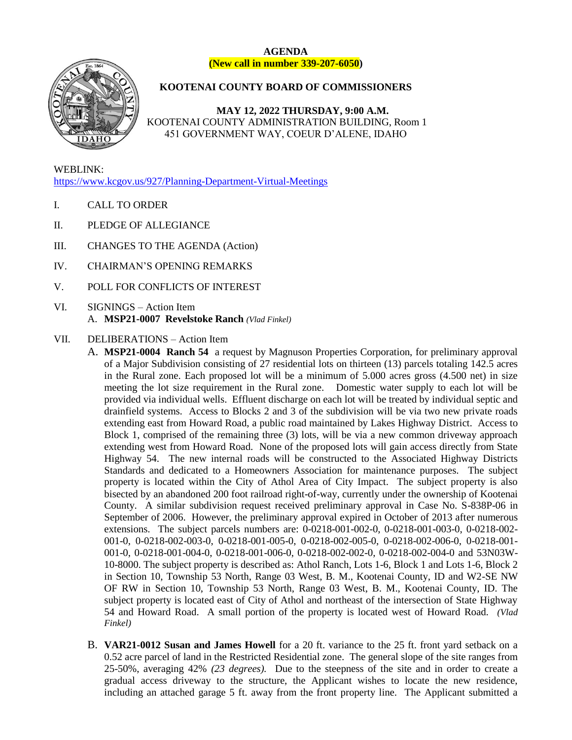

### **AGENDA (New call in number 339-207-6050)**

# **KOOTENAI COUNTY BOARD OF COMMISSIONERS**

**MAY 12, 2022 THURSDAY, 9:00 A.M.** KOOTENAI COUNTY ADMINISTRATION BUILDING, Room 1 451 GOVERNMENT WAY, COEUR D'ALENE, IDAHO

WEBLINK: <https://www.kcgov.us/927/Planning-Department-Virtual-Meetings>

- I. CALL TO ORDER
- II. PLEDGE OF ALLEGIANCE
- III. CHANGES TO THE AGENDA (Action)
- IV. CHAIRMAN'S OPENING REMARKS
- V. POLL FOR CONFLICTS OF INTEREST
- VI. SIGNINGS Action Item A. **MSP21-0007 Revelstoke Ranch** *(Vlad Finkel)*

## VII. DELIBERATIONS – Action Item

A. **MSP21-0004 Ranch 54** a request by Magnuson Properties Corporation, for preliminary approval of a Major Subdivision consisting of 27 residential lots on thirteen (13) parcels totaling 142.5 acres in the Rural zone. Each proposed lot will be a minimum of 5.000 acres gross (4.500 net) in size meeting the lot size requirement in the Rural zone. Domestic water supply to each lot will be provided via individual wells. Effluent discharge on each lot will be treated by individual septic and drainfield systems. Access to Blocks 2 and 3 of the subdivision will be via two new private roads extending east from Howard Road, a public road maintained by Lakes Highway District. Access to Block 1, comprised of the remaining three (3) lots, will be via a new common driveway approach extending west from Howard Road. None of the proposed lots will gain access directly from State Highway 54. The new internal roads will be constructed to the Associated Highway Districts Standards and dedicated to a Homeowners Association for maintenance purposes. The subject property is located within the City of Athol Area of City Impact. The subject property is also bisected by an abandoned 200 foot railroad right-of-way, currently under the ownership of Kootenai County. A similar subdivision request received preliminary approval in Case No. S-838P-06 in September of 2006. However, the preliminary approval expired in October of 2013 after numerous extensions. The subject parcels numbers are: 0-0218-001-002-0, 0-0218-001-003-0, 0-0218-002- 001-0, 0-0218-002-003-0, 0-0218-001-005-0, 0-0218-002-005-0, 0-0218-002-006-0, 0-0218-001- 001-0, 0-0218-001-004-0, 0-0218-001-006-0, 0-0218-002-002-0, 0-0218-002-004-0 and 53N03W-10-8000. The subject property is described as: Athol Ranch, Lots 1-6, Block 1 and Lots 1-6, Block 2 in Section 10, Township 53 North, Range 03 West, B. M., Kootenai County, ID and W2-SE NW OF RW in Section 10, Township 53 North, Range 03 West, B. M., Kootenai County, ID. The subject property is located east of City of Athol and northeast of the intersection of State Highway 54 and Howard Road. A small portion of the property is located west of Howard Road. *(Vlad Finkel)*

B. **VAR21-0012 Susan and James Howell** for a 20 ft. variance to the 25 ft. front yard setback on a 0.52 acre parcel of land in the Restricted Residential zone. The general slope of the site ranges from 25-50%, averaging 42% *(23 degrees).* Due to the steepness of the site and in order to create a gradual access driveway to the structure, the Applicant wishes to locate the new residence, including an attached garage 5 ft. away from the front property line. The Applicant submitted a